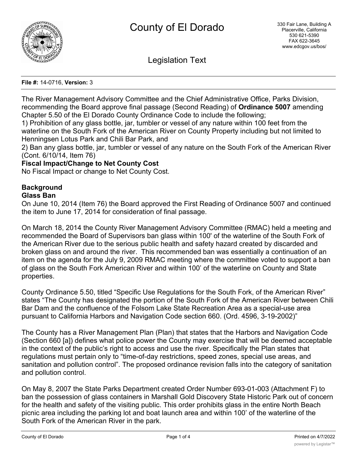

Legislation Text

### **File #:** 14-0716, **Version:** 3

The River Management Advisory Committee and the Chief Administrative Office, Parks Division, recommending the Board approve final passage (Second Reading) of **Ordinance 5007** amending Chapter 5.50 of the El Dorado County Ordinance Code to include the following;

1) Prohibition of any glass bottle, jar, tumbler or vessel of any nature within 100 feet from the waterline on the South Fork of the American River on County Property including but not limited to Henningsen Lotus Park and Chili Bar Park, and

2) Ban any glass bottle, jar, tumbler or vessel of any nature on the South Fork of the American River (Cont. 6/10/14, Item 76)

## **Fiscal Impact/Change to Net County Cost**

No Fiscal Impact or change to Net County Cost.

# **Background**

## **Glass Ban**

On June 10, 2014 (Item 76) the Board approved the First Reading of Ordinance 5007 and continued the item to June 17, 2014 for consideration of final passage.

On March 18, 2014 the County River Management Advisory Committee (RMAC) held a meeting and recommended the Board of Supervisors ban glass within 100' of the waterline of the South Fork of the American River due to the serious public health and safety hazard created by discarded and broken glass on and around the river. This recommended ban was essentially a continuation of an item on the agenda for the July 9, 2009 RMAC meeting where the committee voted to support a ban of glass on the South Fork American River and within 100' of the waterline on County and State properties.

County Ordinance 5.50, titled "Specific Use Regulations for the South Fork, of the American River" states "The County has designated the portion of the South Fork of the American River between Chili Bar Dam and the confluence of the Folsom Lake State Recreation Area as a special-use area pursuant to California Harbors and Navigation Code section 660. (Ord. 4596, 3-19-2002)"

The County has a River Management Plan (Plan) that states that the Harbors and Navigation Code (Section 660 [a]) defines what police power the County may exercise that will be deemed acceptable in the context of the public's right to access and use the river. Specifically the Plan states that regulations must pertain only to "time-of-day restrictions, speed zones, special use areas, and sanitation and pollution control". The proposed ordinance revision falls into the category of sanitation and pollution control.

On May 8, 2007 the State Parks Department created Order Number 693-01-003 (Attachment F) to ban the possession of glass containers in Marshall Gold Discovery State Historic Park out of concern for the health and safety of the visiting public. This order prohibits glass in the entire North Beach picnic area including the parking lot and boat launch area and within 100' of the waterline of the South Fork of the American River in the park.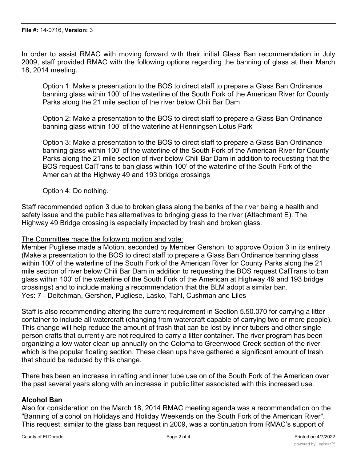In order to assist RMAC with moving forward with their initial Glass Ban recommendation in July 2009, staff provided RMAC with the following options regarding the banning of glass at their March 18, 2014 meeting.

Option 1: Make a presentation to the BOS to direct staff to prepare a Glass Ban Ordinance banning glass within 100' of the waterline of the South Fork of the American River for County Parks along the 21 mile section of the river below Chili Bar Dam

Option 2: Make a presentation to the BOS to direct staff to prepare a Glass Ban Ordinance banning glass within 100' of the waterline at Henningsen Lotus Park

Option 3: Make a presentation to the BOS to direct staff to prepare a Glass Ban Ordinance banning glass within 100' of the waterline of the South Fork of the American River for County Parks along the 21 mile section of river below Chili Bar Dam in addition to requesting that the BOS request CalTrans to ban glass within 100' of the waterline of the South Fork of the American at the Highway 49 and 193 bridge crossings

Option 4: Do nothing.

Staff recommended option 3 due to broken glass along the banks of the river being a health and safety issue and the public has alternatives to bringing glass to the river (Attachment E). The Highway 49 Bridge crossing is especially impacted by trash and broken glass.

## The Committee made the following motion and vote:

Member Pugliese made a Motion, seconded by Member Gershon, to approve Option 3 in its entirety (Make a presentation to the BOS to direct staff to prepare a Glass Ban Ordinance banning glass within 100' of the waterline of the South Fork of the American River for County Parks along the 21 mile section of river below Chili Bar Dam in addition to requesting the BOS request CalTrans to ban glass within 100' of the waterline of the South Fork of the American at Highway 49 and 193 bridge crossings) and to include making a recommendation that the BLM adopt a similar ban. Yes: 7 - Deitchman, Gershon, Pugliese, Lasko, Tahl, Cushman and Liles

Staff is also recommending altering the current requirement in Section 5.50.070 for carrying a litter container to include all watercraft (changing from watercraft capable of carrying two or more people). This change will help reduce the amount of trash that can be lost by inner tubers and other single person crafts that currently are not required to carry a litter container. The river program has been organizing a low water clean up annually on the Coloma to Greenwood Creek section of the river which is the popular floating section. These clean ups have gathered a significant amount of trash that should be reduced by this change.

There has been an increase in rafting and inner tube use on of the South Fork of the American over the past several years along with an increase in public litter associated with this increased use.

## **Alcohol Ban**

Also for consideration on the March 18, 2014 RMAC meeting agenda was a recommendation on the "Banning of alcohol on Holidays and Holiday Weekends on the South Fork of the American River". This request, similar to the glass ban request in 2009, was a continuation from RMAC's support of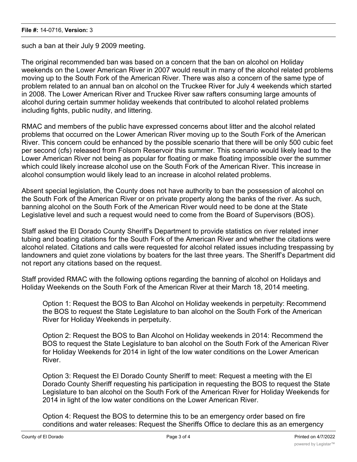such a ban at their July 9 2009 meeting.

The original recommended ban was based on a concern that the ban on alcohol on Holiday weekends on the Lower American River in 2007 would result in many of the alcohol related problems moving up to the South Fork of the American River. There was also a concern of the same type of problem related to an annual ban on alcohol on the Truckee River for July 4 weekends which started in 2008. The Lower American River and Truckee River saw rafters consuming large amounts of alcohol during certain summer holiday weekends that contributed to alcohol related problems including fights, public nudity, and littering.

RMAC and members of the public have expressed concerns about litter and the alcohol related problems that occurred on the Lower American River moving up to the South Fork of the American River. This concern could be enhanced by the possible scenario that there will be only 500 cubic feet per second (cfs) released from Folsom Reservoir this summer. This scenario would likely lead to the Lower American River not being as popular for floating or make floating impossible over the summer which could likely increase alcohol use on the South Fork of the American River. This increase in alcohol consumption would likely lead to an increase in alcohol related problems.

Absent special legislation, the County does not have authority to ban the possession of alcohol on the South Fork of the American River or on private property along the banks of the river. As such, banning alcohol on the South Fork of the American River would need to be done at the State Legislative level and such a request would need to come from the Board of Supervisors (BOS).

Staff asked the El Dorado County Sheriff's Department to provide statistics on river related inner tubing and boating citations for the South Fork of the American River and whether the citations were alcohol related. Citations and calls were requested for alcohol related issues including trespassing by landowners and quiet zone violations by boaters for the last three years. The Sheriff's Department did not report any citations based on the request.

Staff provided RMAC with the following options regarding the banning of alcohol on Holidays and Holiday Weekends on the South Fork of the American River at their March 18, 2014 meeting.

Option 1: Request the BOS to Ban Alcohol on Holiday weekends in perpetuity: Recommend the BOS to request the State Legislature to ban alcohol on the South Fork of the American River for Holiday Weekends in perpetuity.

Option 2: Request the BOS to Ban Alcohol on Holiday weekends in 2014: Recommend the BOS to request the State Legislature to ban alcohol on the South Fork of the American River for Holiday Weekends for 2014 in light of the low water conditions on the Lower American River.

Option 3: Request the El Dorado County Sheriff to meet: Request a meeting with the El Dorado County Sheriff requesting his participation in requesting the BOS to request the State Legislature to ban alcohol on the South Fork of the American River for Holiday Weekends for 2014 in light of the low water conditions on the Lower American River.

Option 4: Request the BOS to determine this to be an emergency order based on fire conditions and water releases: Request the Sheriffs Office to declare this as an emergency